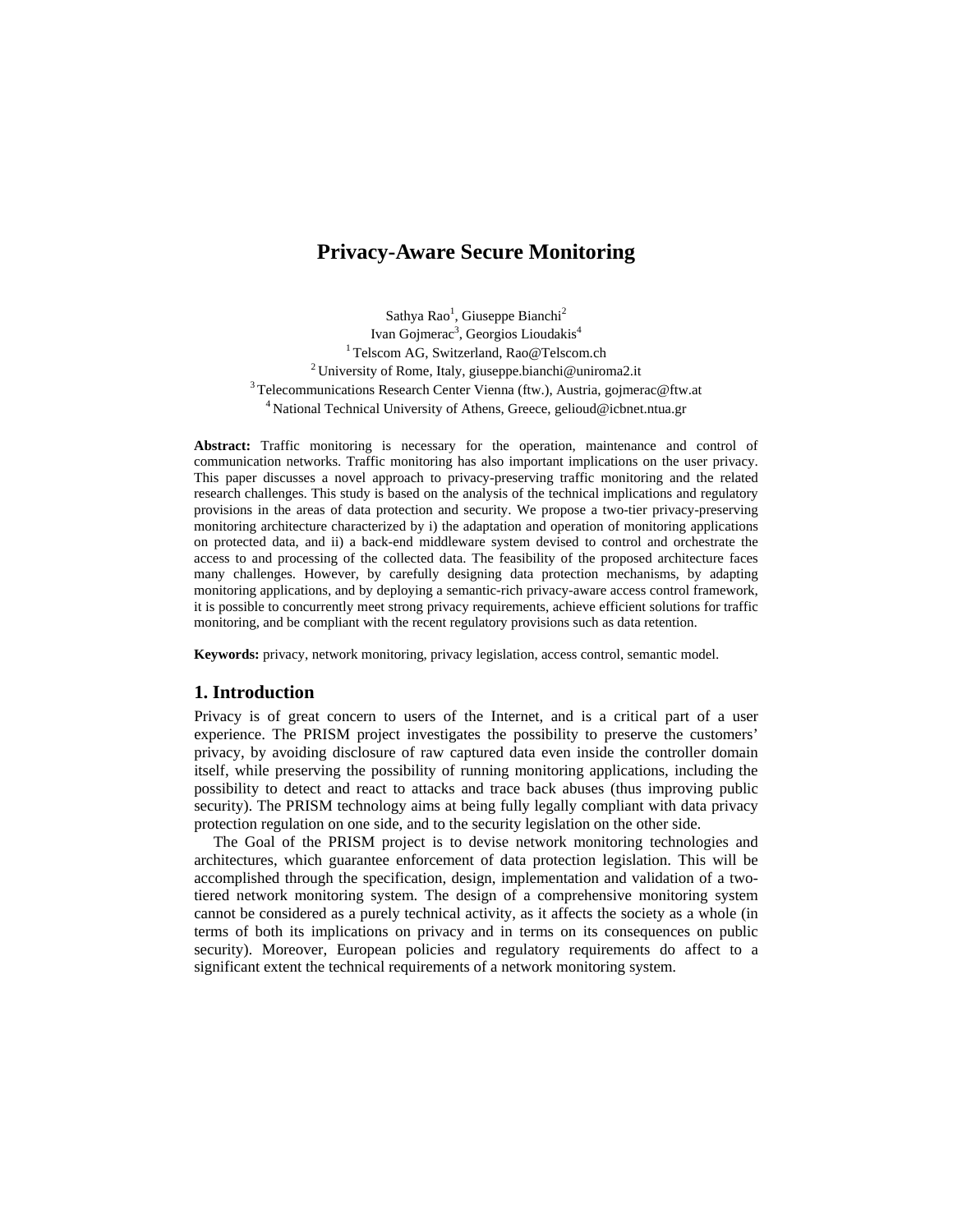# **Privacy-Aware Secure Monitoring**

Sathya Rao<sup>1</sup>, Giuseppe Bianchi<sup>2</sup> Ivan Gojmerac<sup>3</sup>, Georgios Lioudakis<sup>4</sup> <sup>1</sup> Telscom AG, Switzerland, Rao@Telscom.ch<br><sup>2</sup> University of Rome, Italy, giuseppe.bianchi@uniroma2.it<br><sup>3</sup> Telecommunications Research Center Vienna (ftw.), Austria, gojmerac@ftw.at <sup>4</sup> National Technical University of Athens, Greece, gelioud@icbnet.ntua.gr

**Abstract:** Traffic monitoring is necessary for the operation, maintenance and control of communication networks. Traffic monitoring has also important implications on the user privacy. This paper discusses a novel approach to privacy-preserving traffic monitoring and the related research challenges. This study is based on the analysis of the technical implications and regulatory provisions in the areas of data protection and security. We propose a two-tier privacy-preserving monitoring architecture characterized by i) the adaptation and operation of monitoring applications on protected data, and ii) a back-end middleware system devised to control and orchestrate the access to and processing of the collected data. The feasibility of the proposed architecture faces many challenges. However, by carefully designing data protection mechanisms, by adapting monitoring applications, and by deploying a semantic-rich privacy-aware access control framework, it is possible to concurrently meet strong privacy requirements, achieve efficient solutions for traffic monitoring, and be compliant with the recent regulatory provisions such as data retention.

**Keywords:** privacy, network monitoring, privacy legislation, access control, semantic model.

#### **1. Introduction**

Privacy is of great concern to users of the Internet, and is a critical part of a user experience. The PRISM project investigates the possibility to preserve the customers' privacy, by avoiding disclosure of raw captured data even inside the controller domain itself, while preserving the possibility of running monitoring applications, including the possibility to detect and react to attacks and trace back abuses (thus improving public security). The PRISM technology aims at being fully legally compliant with data privacy protection regulation on one side, and to the security legislation on the other side.

 The Goal of the PRISM project is to devise network monitoring technologies and architectures, which guarantee enforcement of data protection legislation. This will be accomplished through the specification, design, implementation and validation of a twotiered network monitoring system. The design of a comprehensive monitoring system cannot be considered as a purely technical activity, as it affects the society as a whole (in terms of both its implications on privacy and in terms on its consequences on public security). Moreover, European policies and regulatory requirements do affect to a significant extent the technical requirements of a network monitoring system.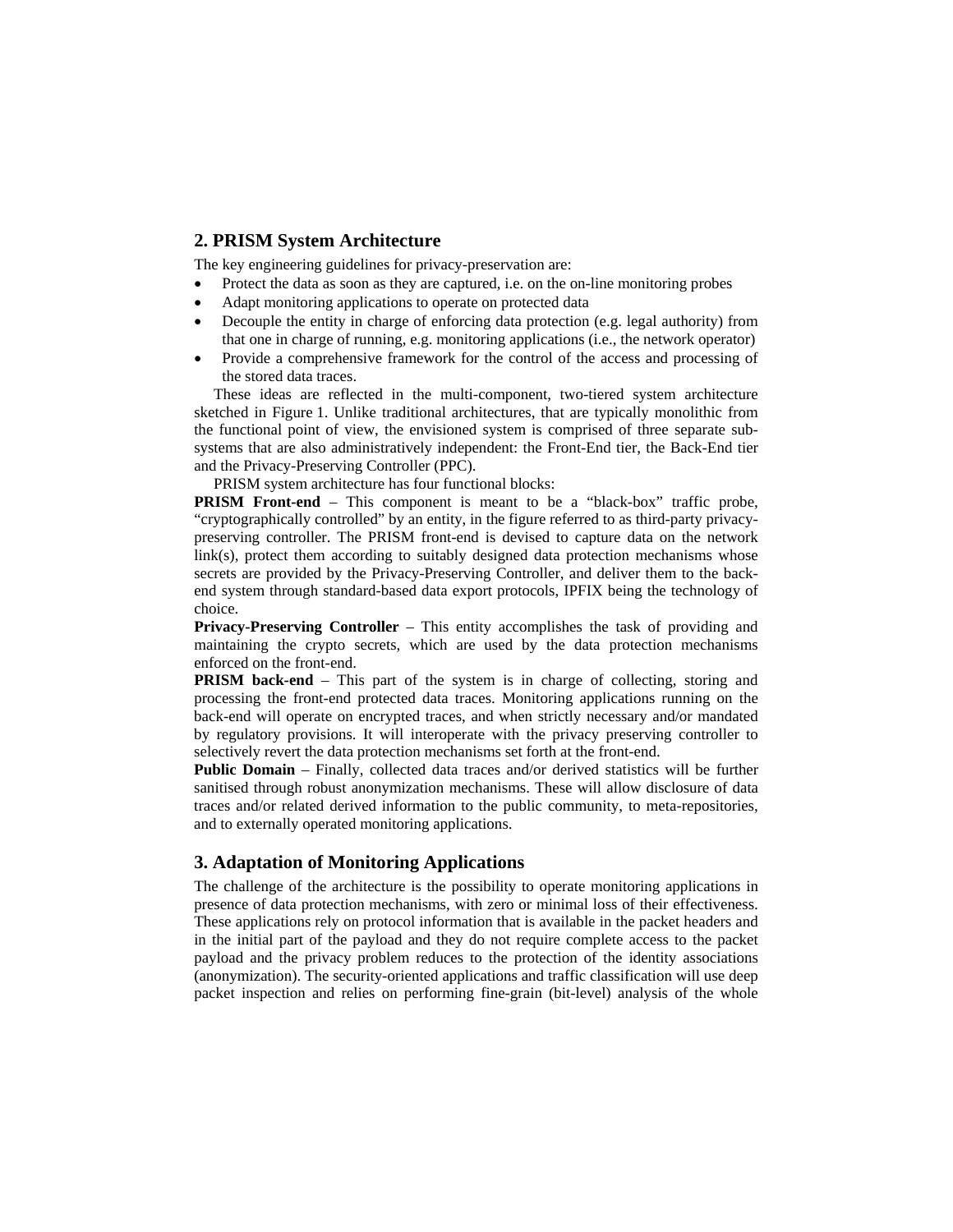## **2. PRISM System Architecture**

The key engineering guidelines for privacy-preservation are:

- Protect the data as soon as they are captured, i.e. on the on-line monitoring probes
- Adapt monitoring applications to operate on protected data
- Decouple the entity in charge of enforcing data protection (e.g. legal authority) from that one in charge of running, e.g. monitoring applications (i.e., the network operator)
- Provide a comprehensive framework for the control of the access and processing of the stored data traces.

 These ideas are reflected in the multi-component, two-tiered system architecture sketched in Figure 1. Unlike traditional architectures, that are typically monolithic from the functional point of view, the envisioned system is comprised of three separate subsystems that are also administratively independent: the Front-End tier, the Back-End tier and the Privacy-Preserving Controller (PPC).

PRISM system architecture has four functional blocks:

**PRISM Front-end** – This component is meant to be a "black-box" traffic probe, "cryptographically controlled" by an entity, in the figure referred to as third-party privacypreserving controller. The PRISM front-end is devised to capture data on the network link(s), protect them according to suitably designed data protection mechanisms whose secrets are provided by the Privacy-Preserving Controller, and deliver them to the backend system through standard-based data export protocols, IPFIX being the technology of choice.

**Privacy-Preserving Controller** – This entity accomplishes the task of providing and maintaining the crypto secrets, which are used by the data protection mechanisms enforced on the front-end.

**PRISM back-end** – This part of the system is in charge of collecting, storing and processing the front-end protected data traces. Monitoring applications running on the back-end will operate on encrypted traces, and when strictly necessary and/or mandated by regulatory provisions. It will interoperate with the privacy preserving controller to selectively revert the data protection mechanisms set forth at the front-end.

**Public Domain** – Finally, collected data traces and/or derived statistics will be further sanitised through robust anonymization mechanisms. These will allow disclosure of data traces and/or related derived information to the public community, to meta-repositories, and to externally operated monitoring applications.

### **3. Adaptation of Monitoring Applications**

The challenge of the architecture is the possibility to operate monitoring applications in presence of data protection mechanisms, with zero or minimal loss of their effectiveness. These applications rely on protocol information that is available in the packet headers and in the initial part of the payload and they do not require complete access to the packet payload and the privacy problem reduces to the protection of the identity associations (anonymization). The security-oriented applications and traffic classification will use deep packet inspection and relies on performing fine-grain (bit-level) analysis of the whole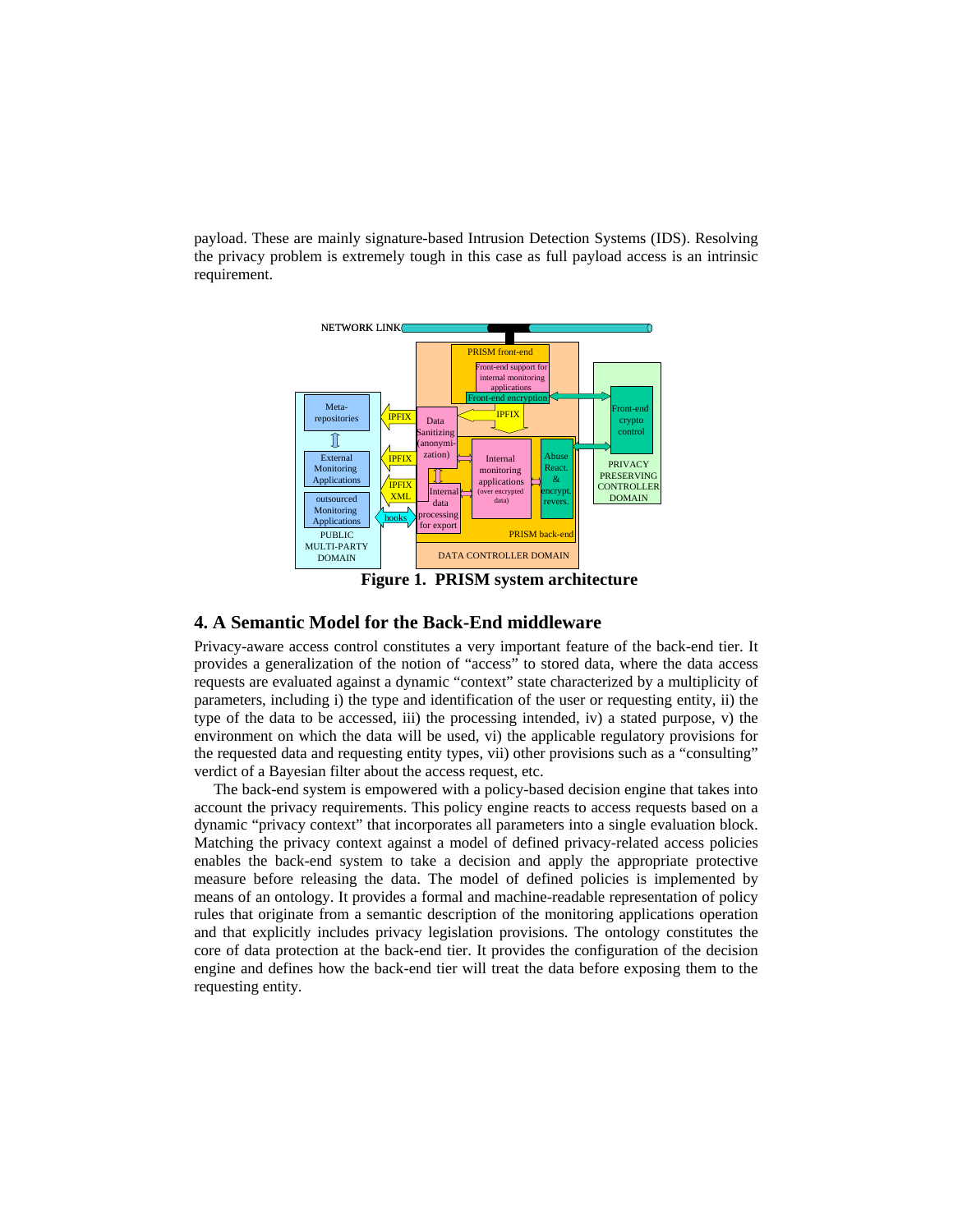payload. These are mainly signature-based Intrusion Detection Systems (IDS). Resolving the privacy problem is extremely tough in this case as full payload access is an intrinsic requirement.



 **Figure 1. PRISM system architecture** 

### **4. A Semantic Model for the Back-End middleware**

Privacy-aware access control constitutes a very important feature of the back-end tier. It provides a generalization of the notion of "access" to stored data, where the data access requests are evaluated against a dynamic "context" state characterized by a multiplicity of parameters, including i) the type and identification of the user or requesting entity, ii) the type of the data to be accessed, iii) the processing intended, iv) a stated purpose, v) the environment on which the data will be used, vi) the applicable regulatory provisions for the requested data and requesting entity types, vii) other provisions such as a "consulting" verdict of a Bayesian filter about the access request, etc.

 The back-end system is empowered with a policy-based decision engine that takes into account the privacy requirements. This policy engine reacts to access requests based on a dynamic "privacy context" that incorporates all parameters into a single evaluation block. Matching the privacy context against a model of defined privacy-related access policies enables the back-end system to take a decision and apply the appropriate protective measure before releasing the data. The model of defined policies is implemented by means of an ontology. It provides a formal and machine-readable representation of policy rules that originate from a semantic description of the monitoring applications operation and that explicitly includes privacy legislation provisions. The ontology constitutes the core of data protection at the back-end tier. It provides the configuration of the decision engine and defines how the back-end tier will treat the data before exposing them to the requesting entity.